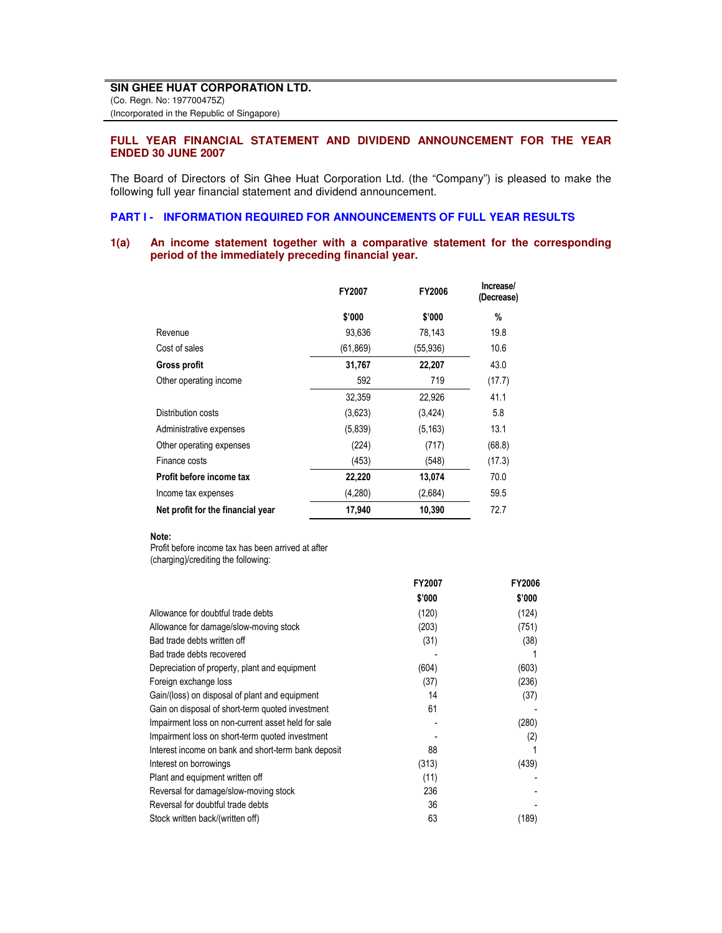# **FULL YEAR FINANCIAL STATEMENT AND DIVIDEND ANNOUNCEMENT FOR THE YEAR ENDED 30 JUNE 2007**

The Board of Directors of Sin Ghee Huat Corporation Ltd. (the "Company") is pleased to make the following full year financial statement and dividend announcement.

### **PART I - INFORMATION REQUIRED FOR ANNOUNCEMENTS OF FULL YEAR RESULTS**

# **1(a) An income statement together with a comparative statement for the corresponding period of the immediately preceding financial year.**

|                                   | FY2007    | FY2006    | Increase/<br>(Decrease) |
|-----------------------------------|-----------|-----------|-------------------------|
|                                   | \$'000    | \$'000    | %                       |
| Revenue                           | 93,636    | 78,143    | 19.8                    |
| Cost of sales                     | (61, 869) | (55, 936) | 10.6                    |
| Gross profit                      | 31,767    | 22,207    | 43.0                    |
| Other operating income            | 592       | 719       | (17.7)                  |
|                                   | 32,359    | 22,926    | 41.1                    |
| Distribution costs                | (3,623)   | (3, 424)  | 5.8                     |
| Administrative expenses           | (5,839)   | (5, 163)  | 13.1                    |
| Other operating expenses          | (224)     | (717)     | (68.8)                  |
| Finance costs                     | (453)     | (548)     | (17.3)                  |
| Profit before income tax          | 22,220    | 13,074    | 70.0                    |
| Income tax expenses               | (4,280)   | (2,684)   | 59.5                    |
| Net profit for the financial year | 17,940    | 10,390    | 72.7                    |

#### Note:

Profit before income tax has been arrived at after (charging)/crediting the following:

|                                                     | <b>FY2007</b> | <b>FY2006</b> |
|-----------------------------------------------------|---------------|---------------|
|                                                     | \$'000        | \$'000        |
| Allowance for doubtful trade debts                  | (120)         | (124)         |
| Allowance for damage/slow-moving stock              | (203)         | (751)         |
| Bad trade debts written off                         | (31)          | (38)          |
| Bad trade debts recovered                           |               |               |
| Depreciation of property, plant and equipment       | (604)         | (603)         |
| Foreign exchange loss                               | (37)          | (236)         |
| Gain/(loss) on disposal of plant and equipment      | 14            | (37)          |
| Gain on disposal of short-term quoted investment    | 61            |               |
| Impairment loss on non-current asset held for sale  |               | (280)         |
| Impairment loss on short-term quoted investment     |               | (2)           |
| Interest income on bank and short-term bank deposit | 88            |               |
| Interest on borrowings                              | (313)         | (439)         |
| Plant and equipment written off                     | (11)          |               |
| Reversal for damage/slow-moving stock               | 236           |               |
| Reversal for doubtful trade debts                   | 36            |               |
| Stock written back/(written off)                    | 63            | (189)         |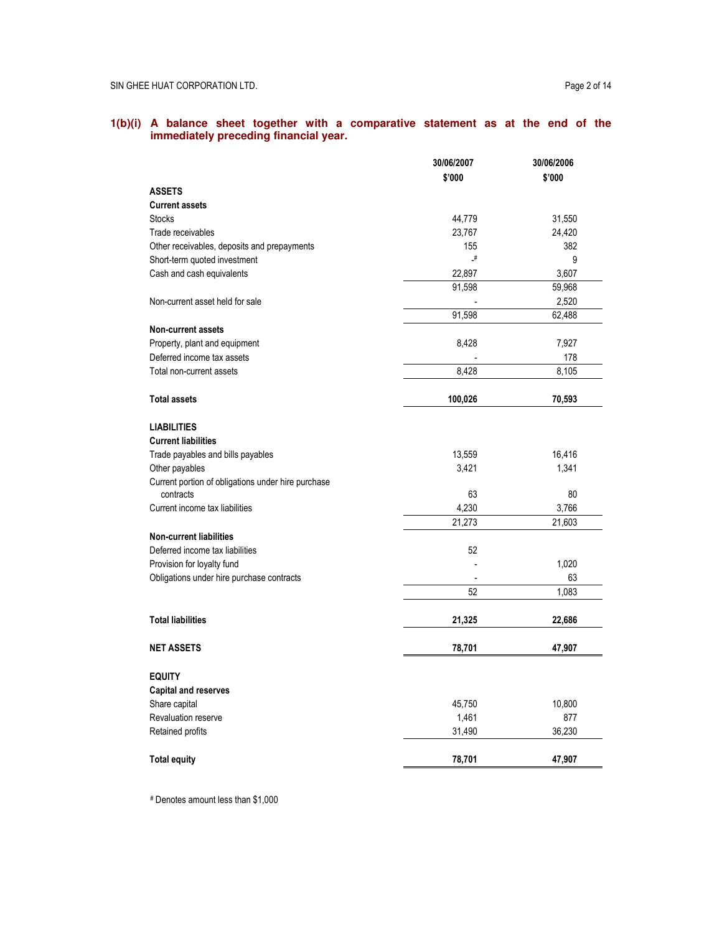#### **1(b)(i) A balance sheet together with a comparative statement as at the end of the immediately preceding financial year.**

|                                                    | 30/06/2007    | 30/06/2006 |
|----------------------------------------------------|---------------|------------|
|                                                    | \$'000        | \$'000     |
| <b>ASSETS</b>                                      |               |            |
| <b>Current assets</b>                              |               |            |
| <b>Stocks</b>                                      | 44,779        | 31,550     |
| Trade receivables                                  | 23,767        | 24,420     |
| Other receivables, deposits and prepayments        | 155           | 382        |
| Short-term quoted investment                       | $\mathcal{N}$ | 9          |
| Cash and cash equivalents                          | 22,897        | 3,607      |
|                                                    | 91,598        | 59,968     |
| Non-current asset held for sale                    |               | 2,520      |
|                                                    | 91,598        | 62,488     |
| <b>Non-current assets</b>                          |               |            |
| Property, plant and equipment                      | 8,428         | 7,927      |
| Deferred income tax assets                         |               | 178        |
| Total non-current assets                           | 8,428         | 8,105      |
| <b>Total assets</b>                                | 100,026       | 70,593     |
| <b>LIABILITIES</b>                                 |               |            |
| <b>Current liabilities</b>                         |               |            |
| Trade payables and bills payables                  | 13,559        | 16,416     |
| Other payables                                     | 3,421         | 1,341      |
| Current portion of obligations under hire purchase |               |            |
| contracts                                          | 63            | 80         |
| Current income tax liabilities                     | 4,230         | 3,766      |
|                                                    | 21,273        | 21,603     |
| <b>Non-current liabilities</b>                     |               |            |
| Deferred income tax liabilities                    | 52            |            |
| Provision for loyalty fund                         |               | 1,020      |
| Obligations under hire purchase contracts          |               | 63         |
|                                                    | 52            | 1,083      |
| <b>Total liabilities</b>                           | 21,325        | 22,686     |
|                                                    |               |            |
| <b>NET ASSETS</b>                                  | 78,701        | 47,907     |
| <b>EQUITY</b>                                      |               |            |
| <b>Capital and reserves</b>                        |               |            |
| Share capital                                      | 45,750        | 10,800     |
| Revaluation reserve                                | 1,461         | 877        |
| Retained profits                                   | 31,490        | 36,230     |
| <b>Total equity</b>                                | 78,701        | 47,907     |
|                                                    |               |            |

# Denotes amount less than \$1,000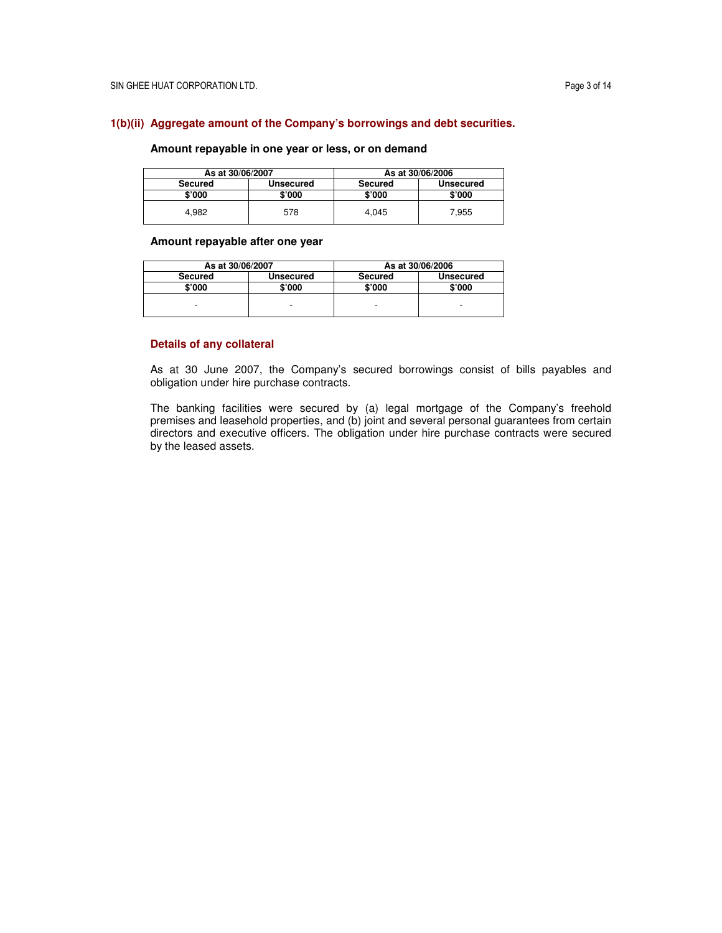## **1(b)(ii) Aggregate amount of the Company's borrowings and debt securities.**

# **Amount repayable in one year or less, or on demand**

| As at 30/06/2007 |           |                | As at 30/06/2006 |
|------------------|-----------|----------------|------------------|
| Secured          | Unsecured | <b>Secured</b> | <b>Unsecured</b> |
| \$'000           | \$'000    | \$'000         | \$'000           |
| 4.982            | 578       | 4.045          | 7,955            |

## **Amount repayable after one year**

| As at 30/06/2007 |                  |                | As at 30/06/2006 |
|------------------|------------------|----------------|------------------|
| <b>Secured</b>   | <b>Unsecured</b> | <b>Secured</b> | Unsecured        |
| \$'000           | \$'000           | \$'000         | \$'000           |
|                  |                  |                |                  |
|                  | -                |                | -                |

## **Details of any collateral**

As at 30 June 2007, the Company's secured borrowings consist of bills payables and obligation under hire purchase contracts.

The banking facilities were secured by (a) legal mortgage of the Company's freehold premises and leasehold properties, and (b) joint and several personal guarantees from certain directors and executive officers. The obligation under hire purchase contracts were secured by the leased assets.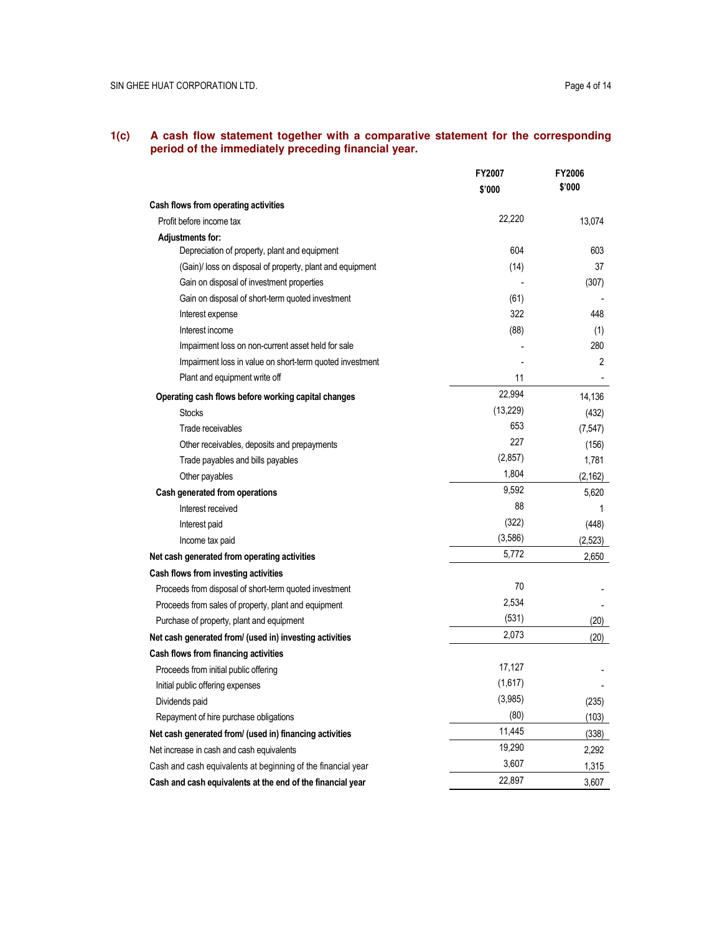#### **1(c) A cash flow statement together with a comparative statement for the corresponding period of the immediately preceding financial year.**

|                                                              | FY2007    | FY2006   |
|--------------------------------------------------------------|-----------|----------|
|                                                              | \$'000    | \$'000   |
| Cash flows from operating activities                         |           |          |
| Profit before income tax                                     | 22,220    | 13,074   |
| Adjustments for:                                             |           |          |
| Depreciation of property, plant and equipment                | 604       | 603      |
| (Gain)/ loss on disposal of property, plant and equipment    | (14)      | 37       |
| Gain on disposal of investment properties                    |           | (307)    |
| Gain on disposal of short-term quoted investment             | (61)      |          |
| Interest expense                                             | 322       | 448      |
| Interest income                                              | (88)      | (1)      |
| Impairment loss on non-current asset held for sale           |           | 280      |
| Impairment loss in value on short-term quoted investment     |           | 2        |
| Plant and equipment write off                                | 11        |          |
| Operating cash flows before working capital changes          | 22,994    | 14,136   |
| <b>Stocks</b>                                                | (13, 229) | (432)    |
| Trade receivables                                            | 653       | (7, 547) |
| Other receivables, deposits and prepayments                  | 227       | (156)    |
| Trade payables and bills payables                            | (2,857)   | 1,781    |
| Other payables                                               | 1,804     | (2, 162) |
| Cash generated from operations                               | 9,592     | 5,620    |
| Interest received                                            | 88        | 1        |
| Interest paid                                                | (322)     | (448)    |
| Income tax paid                                              | (3,586)   | (2,523)  |
| Net cash generated from operating activities                 | 5,772     | 2,650    |
| Cash flows from investing activities                         |           |          |
| Proceeds from disposal of short-term quoted investment       | 70        |          |
| Proceeds from sales of property, plant and equipment         | 2,534     |          |
| Purchase of property, plant and equipment                    | (531)     | (20)     |
| Net cash generated from/ (used in) investing activities      | 2,073     | (20)     |
| Cash flows from financing activities                         |           |          |
| Proceeds from initial public offering                        | 17,127    |          |
| Initial public offering expenses                             | (1,617)   |          |
| Dividends paid                                               | (3,985)   | (235)    |
| Repayment of hire purchase obligations                       | (80)      | (103)    |
| Net cash generated from/ (used in) financing activities      | 11,445    | (338)    |
| Net increase in cash and cash equivalents                    | 19,290    | 2,292    |
| Cash and cash equivalents at beginning of the financial year | 3,607     | 1,315    |
| Cash and cash equivalents at the end of the financial year   | 22,897    | 3,607    |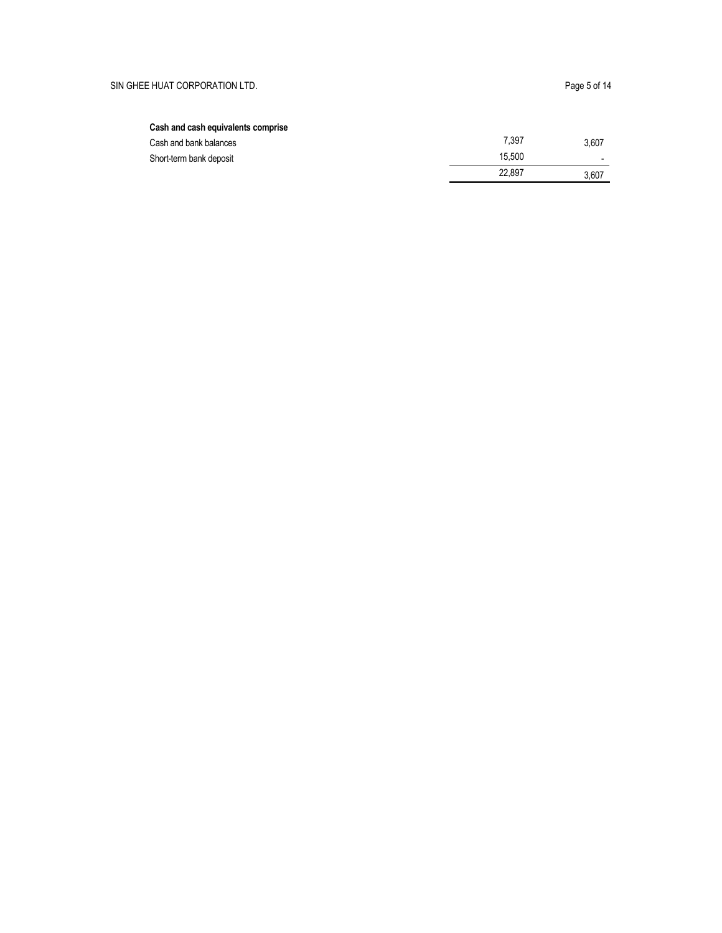# Cash and cash equivalents comprise

| Cash and bank balances  | 7.397  | 3,607 |
|-------------------------|--------|-------|
| Short-term bank deposit | 15.500 |       |
|                         | 22.897 | 3.607 |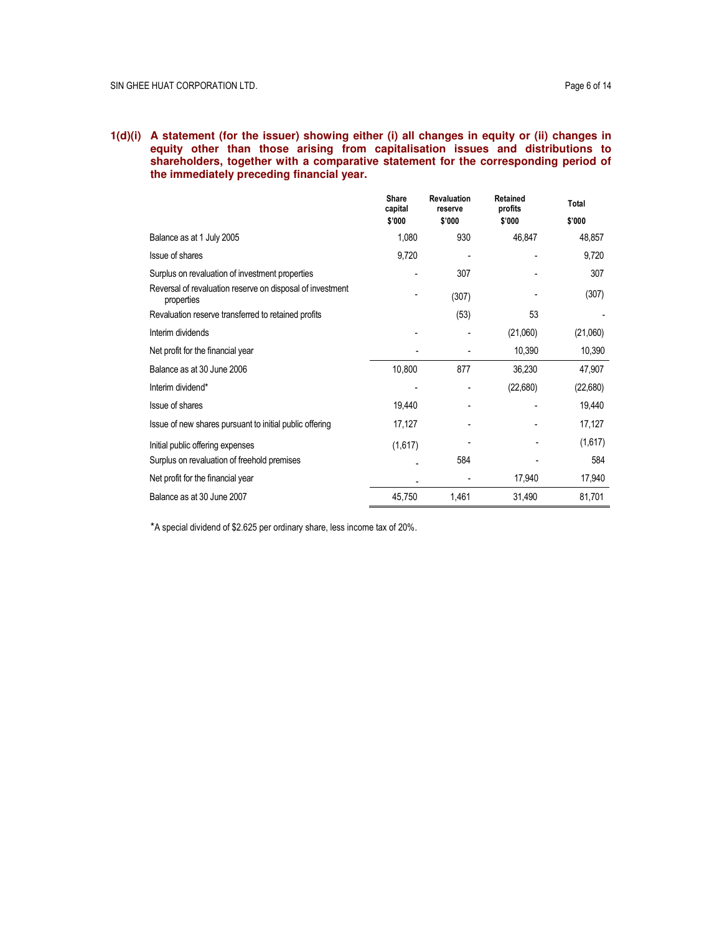# **1(d)(i) A statement (for the issuer) showing either (i) all changes in equity or (ii) changes in equity other than those arising from capitalisation issues and distributions to shareholders, together with a comparative statement for the corresponding period of the immediately preceding financial year.**

|                                                                         | <b>Share</b><br>capital | <b>Revaluation</b><br>reserve | <b>Retained</b><br>profits | Total    |
|-------------------------------------------------------------------------|-------------------------|-------------------------------|----------------------------|----------|
|                                                                         | \$'000                  | \$'000                        | \$'000                     | \$'000   |
| Balance as at 1 July 2005                                               | 1,080                   | 930                           | 46,847                     | 48,857   |
| Issue of shares                                                         | 9,720                   |                               |                            | 9,720    |
| Surplus on revaluation of investment properties                         |                         | 307                           |                            | 307      |
| Reversal of revaluation reserve on disposal of investment<br>properties |                         | (307)                         |                            | (307)    |
| Revaluation reserve transferred to retained profits                     |                         | (53)                          | 53                         |          |
| Interim dividends                                                       |                         |                               | (21,060)                   | (21,060) |
| Net profit for the financial year                                       |                         |                               | 10,390                     | 10,390   |
| Balance as at 30 June 2006                                              | 10,800                  | 877                           | 36,230                     | 47,907   |
| Interim dividend*                                                       |                         |                               | (22,680)                   | (22,680) |
| Issue of shares                                                         | 19,440                  |                               |                            | 19,440   |
| Issue of new shares pursuant to initial public offering                 | 17,127                  |                               |                            | 17,127   |
| Initial public offering expenses                                        | (1,617)                 |                               |                            | (1,617)  |
| Surplus on revaluation of freehold premises                             |                         | 584                           |                            | 584      |
| Net profit for the financial year                                       |                         |                               | 17,940                     | 17,940   |
| Balance as at 30 June 2007                                              | 45,750                  | 1,461                         | 31,490                     | 81,701   |

\*A special dividend of \$2.625 per ordinary share, less income tax of 20%.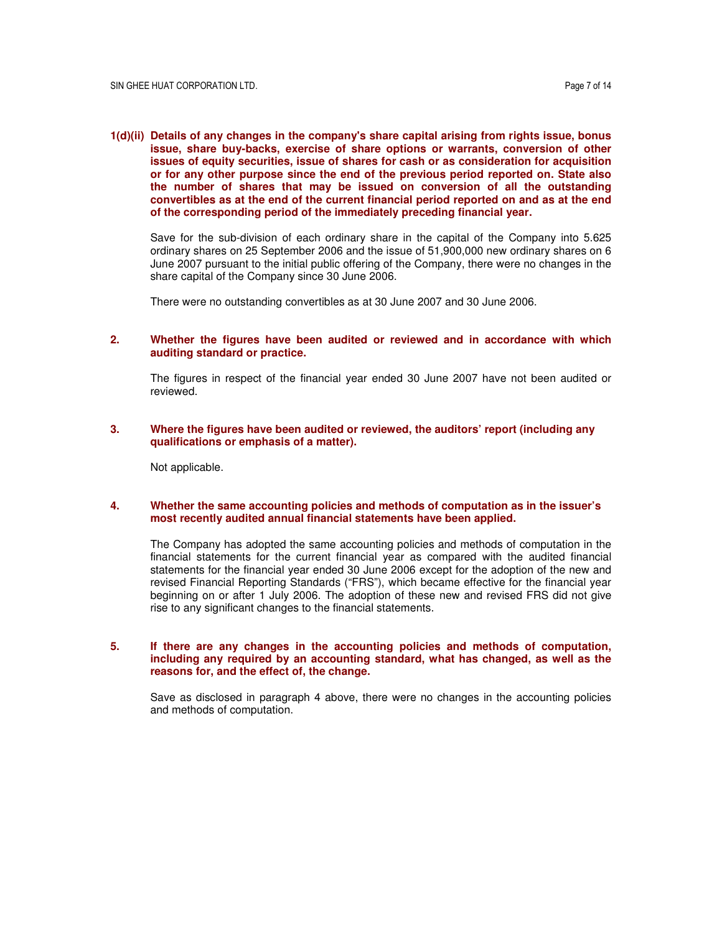**1(d)(ii) Details of any changes in the company's share capital arising from rights issue, bonus issue, share buy-backs, exercise of share options or warrants, conversion of other issues of equity securities, issue of shares for cash or as consideration for acquisition or for any other purpose since the end of the previous period reported on. State also the number of shares that may be issued on conversion of all the outstanding convertibles as at the end of the current financial period reported on and as at the end of the corresponding period of the immediately preceding financial year.** 

Save for the sub-division of each ordinary share in the capital of the Company into 5.625 ordinary shares on 25 September 2006 and the issue of 51,900,000 new ordinary shares on 6 June 2007 pursuant to the initial public offering of the Company, there were no changes in the share capital of the Company since 30 June 2006.

There were no outstanding convertibles as at 30 June 2007 and 30 June 2006.

## **2. Whether the figures have been audited or reviewed and in accordance with which auditing standard or practice.**

The figures in respect of the financial year ended 30 June 2007 have not been audited or reviewed.

## **3. Where the figures have been audited or reviewed, the auditors' report (including any qualifications or emphasis of a matter).**

Not applicable.

#### **4. Whether the same accounting policies and methods of computation as in the issuer's most recently audited annual financial statements have been applied.**

The Company has adopted the same accounting policies and methods of computation in the financial statements for the current financial year as compared with the audited financial statements for the financial year ended 30 June 2006 except for the adoption of the new and revised Financial Reporting Standards ("FRS"), which became effective for the financial year beginning on or after 1 July 2006. The adoption of these new and revised FRS did not give rise to any significant changes to the financial statements.

### **5. If there are any changes in the accounting policies and methods of computation, including any required by an accounting standard, what has changed, as well as the reasons for, and the effect of, the change.**

Save as disclosed in paragraph 4 above, there were no changes in the accounting policies and methods of computation.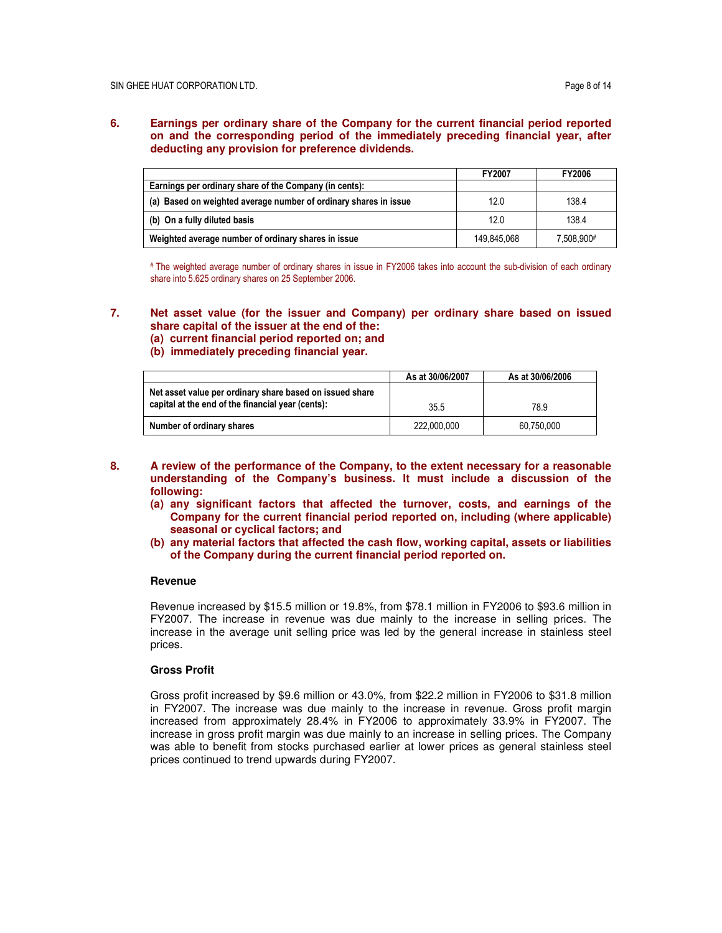## **6. Earnings per ordinary share of the Company for the current financial period reported on and the corresponding period of the immediately preceding financial year, after deducting any provision for preference dividends.**

|                                                                  | <b>FY2007</b> | <b>FY2006</b> |
|------------------------------------------------------------------|---------------|---------------|
| Earnings per ordinary share of the Company (in cents):           |               |               |
| (a) Based on weighted average number of ordinary shares in issue | 12.0          | 138.4         |
| (b) On a fully diluted basis                                     | 12.0          | 138.4         |
| Weighted average number of ordinary shares in issue              | 149.845.068   | 7.508.900#    |

# The weighted average number of ordinary shares in issue in FY2006 takes into account the sub-division of each ordinary share into 5.625 ordinary shares on 25 September 2006.

## **7. Net asset value (for the issuer and Company) per ordinary share based on issued share capital of the issuer at the end of the:**

- **(a) current financial period reported on; and**
- **(b) immediately preceding financial year.**

|                                                                                                               | As at 30/06/2007 | As at 30/06/2006 |
|---------------------------------------------------------------------------------------------------------------|------------------|------------------|
| Net asset value per ordinary share based on issued share<br>capital at the end of the financial year (cents): | 35.5             | 78.9             |
| Number of ordinary shares                                                                                     | 222.000.000      | 60.750.000       |

- **8. A review of the performance of the Company, to the extent necessary for a reasonable understanding of the Company's business. It must include a discussion of the following:** 
	- **(a) any significant factors that affected the turnover, costs, and earnings of the Company for the current financial period reported on, including (where applicable) seasonal or cyclical factors; and**
	- **(b) any material factors that affected the cash flow, working capital, assets or liabilities of the Company during the current financial period reported on.**

### **Revenue**

Revenue increased by \$15.5 million or 19.8%, from \$78.1 million in FY2006 to \$93.6 million in FY2007. The increase in revenue was due mainly to the increase in selling prices. The increase in the average unit selling price was led by the general increase in stainless steel prices.

# **Gross Profit**

Gross profit increased by \$9.6 million or 43.0%, from \$22.2 million in FY2006 to \$31.8 million in FY2007. The increase was due mainly to the increase in revenue. Gross profit margin increased from approximately 28.4% in FY2006 to approximately 33.9% in FY2007. The increase in gross profit margin was due mainly to an increase in selling prices. The Company was able to benefit from stocks purchased earlier at lower prices as general stainless steel prices continued to trend upwards during FY2007.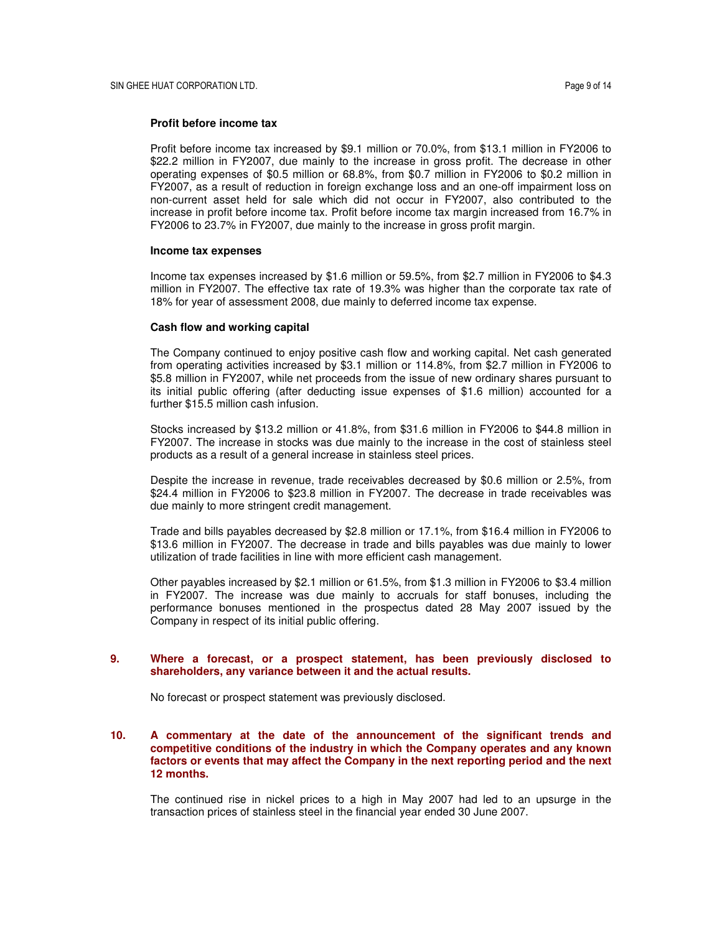### **Profit before income tax**

Profit before income tax increased by \$9.1 million or 70.0%, from \$13.1 million in FY2006 to \$22.2 million in FY2007, due mainly to the increase in gross profit. The decrease in other operating expenses of \$0.5 million or 68.8%, from \$0.7 million in FY2006 to \$0.2 million in FY2007, as a result of reduction in foreign exchange loss and an one-off impairment loss on non-current asset held for sale which did not occur in FY2007, also contributed to the increase in profit before income tax. Profit before income tax margin increased from 16.7% in FY2006 to 23.7% in FY2007, due mainly to the increase in gross profit margin.

#### **Income tax expenses**

Income tax expenses increased by \$1.6 million or 59.5%, from \$2.7 million in FY2006 to \$4.3 million in FY2007. The effective tax rate of 19.3% was higher than the corporate tax rate of 18% for year of assessment 2008, due mainly to deferred income tax expense.

### **Cash flow and working capital**

The Company continued to enjoy positive cash flow and working capital. Net cash generated from operating activities increased by \$3.1 million or 114.8%, from \$2.7 million in FY2006 to \$5.8 million in FY2007, while net proceeds from the issue of new ordinary shares pursuant to its initial public offering (after deducting issue expenses of \$1.6 million) accounted for a further \$15.5 million cash infusion.

Stocks increased by \$13.2 million or 41.8%, from \$31.6 million in FY2006 to \$44.8 million in FY2007. The increase in stocks was due mainly to the increase in the cost of stainless steel products as a result of a general increase in stainless steel prices.

Despite the increase in revenue, trade receivables decreased by \$0.6 million or 2.5%, from \$24.4 million in FY2006 to \$23.8 million in FY2007. The decrease in trade receivables was due mainly to more stringent credit management.

Trade and bills payables decreased by \$2.8 million or 17.1%, from \$16.4 million in FY2006 to \$13.6 million in FY2007. The decrease in trade and bills payables was due mainly to lower utilization of trade facilities in line with more efficient cash management.

Other payables increased by \$2.1 million or 61.5%, from \$1.3 million in FY2006 to \$3.4 million in FY2007. The increase was due mainly to accruals for staff bonuses, including the performance bonuses mentioned in the prospectus dated 28 May 2007 issued by the Company in respect of its initial public offering.

## **9. Where a forecast, or a prospect statement, has been previously disclosed to shareholders, any variance between it and the actual results.**

No forecast or prospect statement was previously disclosed.

## **10. A commentary at the date of the announcement of the significant trends and competitive conditions of the industry in which the Company operates and any known factors or events that may affect the Company in the next reporting period and the next 12 months.**

The continued rise in nickel prices to a high in May 2007 had led to an upsurge in the transaction prices of stainless steel in the financial year ended 30 June 2007.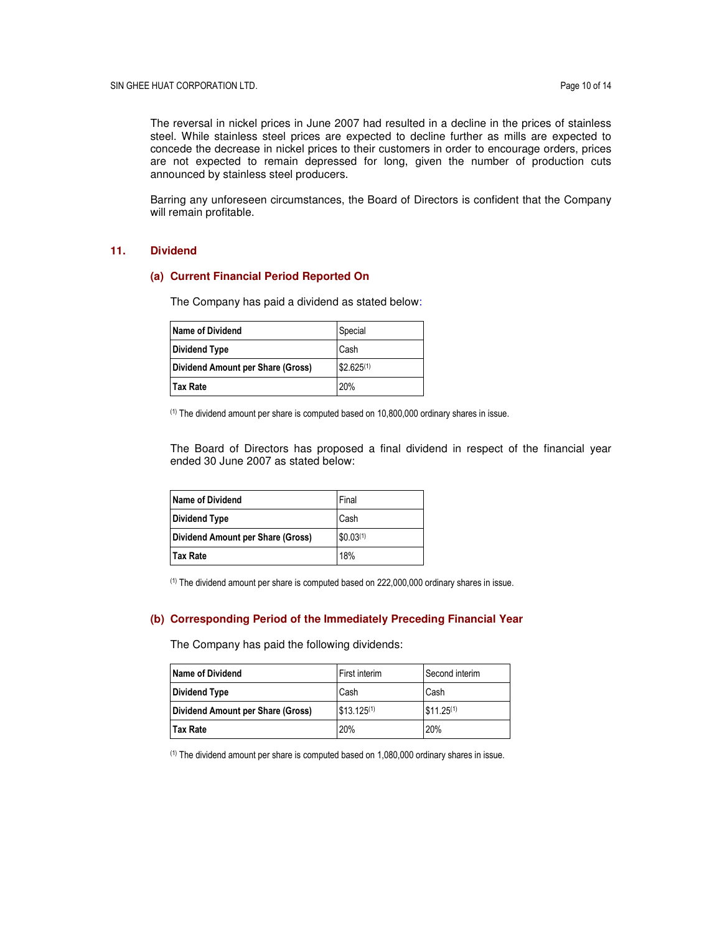The reversal in nickel prices in June 2007 had resulted in a decline in the prices of stainless steel. While stainless steel prices are expected to decline further as mills are expected to concede the decrease in nickel prices to their customers in order to encourage orders, prices are not expected to remain depressed for long, given the number of production cuts announced by stainless steel producers.

Barring any unforeseen circumstances, the Board of Directors is confident that the Company will remain profitable.

## **11. Dividend**

#### **(a) Current Financial Period Reported On**

The Company has paid a dividend as stated below:

| Name of Dividend                  | Special        |
|-----------------------------------|----------------|
| <b>Dividend Type</b>              | Cash           |
| Dividend Amount per Share (Gross) | $$2.625^{(1)}$ |
| <b>Tax Rate</b>                   | 20%            |

(1) The dividend amount per share is computed based on 10,800,000 ordinary shares in issue.

The Board of Directors has proposed a final dividend in respect of the financial year ended 30 June 2007 as stated below:

| <b>Name of Dividend</b>           | Final                 |
|-----------------------------------|-----------------------|
| <b>Dividend Type</b>              | Cash                  |
| Dividend Amount per Share (Gross) | \$0.03 <sup>(1)</sup> |
| l Tax Rate                        | 18%                   |

(1) The dividend amount per share is computed based on 222,000,000 ordinary shares in issue.

#### **(b) Corresponding Period of the Immediately Preceding Financial Year**

The Company has paid the following dividends:

| <b>Name of Dividend</b>           | First interim   | Second interim |
|-----------------------------------|-----------------|----------------|
| <b>Dividend Type</b>              | Cash            | Cash           |
| Dividend Amount per Share (Gross) | $$13.125^{(1)}$ | $$11.25^{(1)}$ |
| <b>Tax Rate</b>                   | 20%             | 20%            |

(1) The dividend amount per share is computed based on 1,080,000 ordinary shares in issue.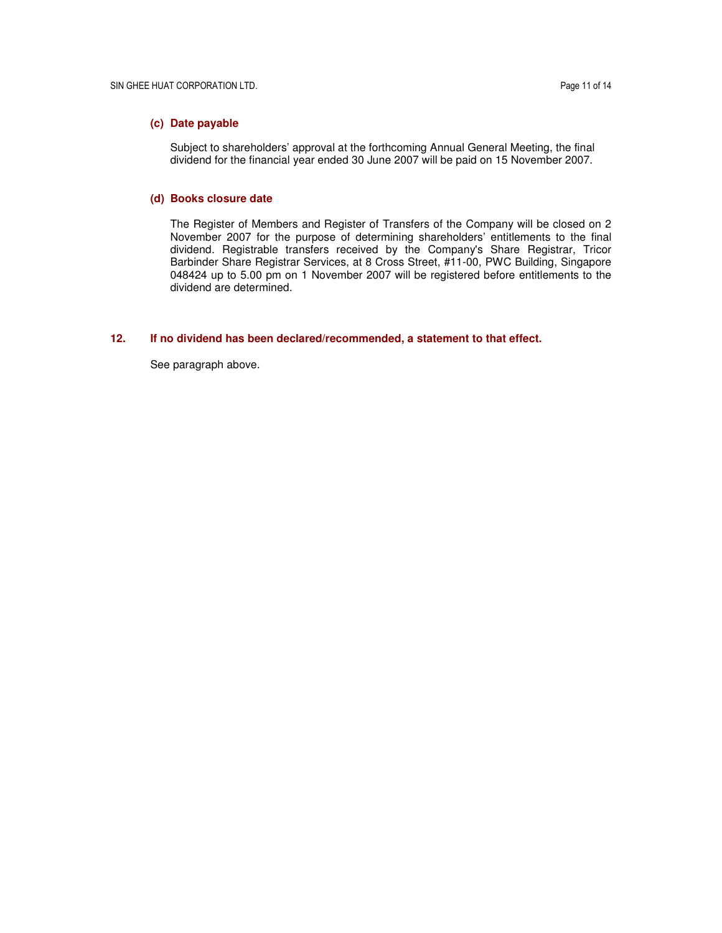# **(c) Date payable**

Subject to shareholders' approval at the forthcoming Annual General Meeting, the final dividend for the financial year ended 30 June 2007 will be paid on 15 November 2007.

#### **(d) Books closure date**

The Register of Members and Register of Transfers of the Company will be closed on 2 November 2007 for the purpose of determining shareholders' entitlements to the final dividend. Registrable transfers received by the Company's Share Registrar, Tricor Barbinder Share Registrar Services, at 8 Cross Street, #11-00, PWC Building, Singapore 048424 up to 5.00 pm on 1 November 2007 will be registered before entitlements to the dividend are determined.

# **12. If no dividend has been declared/recommended, a statement to that effect.**

See paragraph above.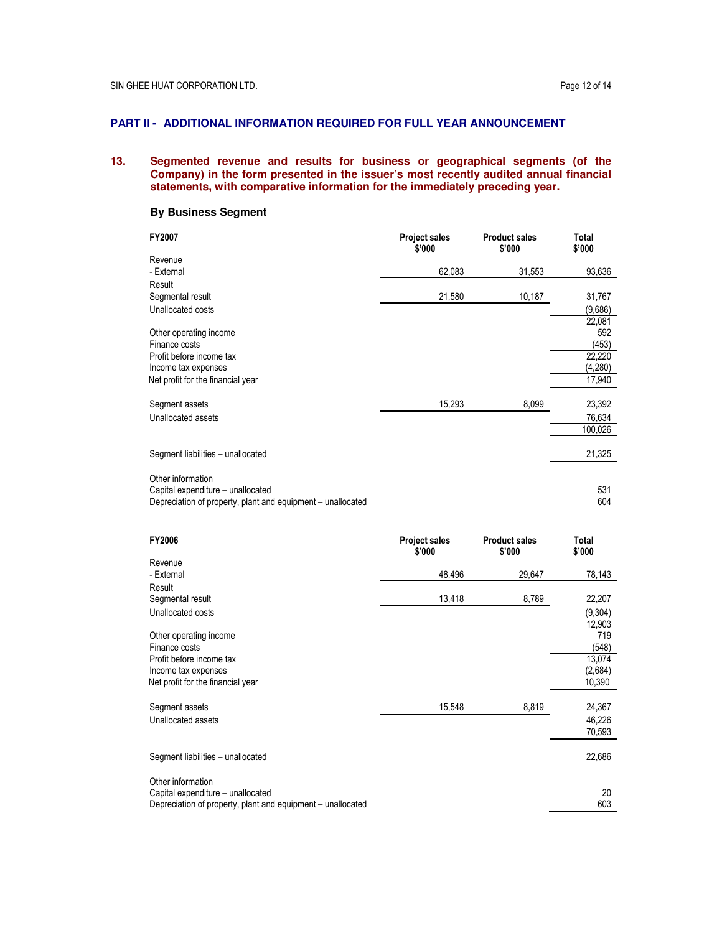# **PART II - ADDITIONAL INFORMATION REQUIRED FOR FULL YEAR ANNOUNCEMENT**

## **13. Segmented revenue and results for business or geographical segments (of the Company) in the form presented in the issuer's most recently audited annual financial statements, with comparative information for the immediately preceding year.**

# **By Business Segment**

| FY2007                                                      | <b>Project sales</b><br>\$'000 | <b>Product sales</b><br>\$'000 | Total<br>\$'000 |
|-------------------------------------------------------------|--------------------------------|--------------------------------|-----------------|
| Revenue                                                     |                                |                                |                 |
| - External                                                  | 62,083                         | 31,553                         | 93,636          |
| Result                                                      |                                |                                |                 |
| Segmental result                                            | 21,580                         | 10,187                         | 31,767          |
| Unallocated costs                                           |                                |                                | (9,686)         |
|                                                             |                                |                                | 22,081          |
| Other operating income                                      |                                |                                | 592             |
| Finance costs                                               |                                |                                | (453)           |
| Profit before income tax                                    |                                |                                | 22,220          |
| Income tax expenses                                         |                                |                                | (4,280)         |
| Net profit for the financial year                           |                                |                                | 17,940          |
| Segment assets                                              | 15,293                         | 8,099                          | 23,392          |
| Unallocated assets                                          |                                |                                | 76,634          |
|                                                             |                                |                                | 100,026         |
|                                                             |                                |                                |                 |
| Segment liabilities - unallocated                           |                                |                                | 21,325          |
|                                                             |                                |                                |                 |
| Other information                                           |                                |                                |                 |
| Capital expenditure - unallocated                           |                                |                                | 531             |
| Depreciation of property, plant and equipment - unallocated |                                |                                | 604             |

| FY2006                                                      | <b>Project sales</b><br>\$'000 | <b>Product sales</b><br>\$'000 | Total<br>\$'000 |
|-------------------------------------------------------------|--------------------------------|--------------------------------|-----------------|
| Revenue                                                     |                                |                                |                 |
| - External                                                  | 48,496                         | 29,647                         | 78,143          |
| Result                                                      |                                |                                |                 |
| Segmental result                                            | 13,418                         | 8,789                          | 22,207          |
| Unallocated costs                                           |                                |                                | (9,304)         |
|                                                             |                                |                                | 12,903          |
| Other operating income                                      |                                |                                | 719             |
| Finance costs                                               |                                |                                | (548)           |
| Profit before income tax                                    |                                |                                | 13,074          |
| Income tax expenses                                         |                                |                                | (2,684)         |
| Net profit for the financial year                           |                                |                                | 10,390          |
|                                                             |                                |                                |                 |
| Segment assets                                              | 15,548                         | 8,819                          | 24,367          |
| Unallocated assets                                          |                                |                                | 46,226          |
|                                                             |                                |                                | 70,593          |
|                                                             |                                |                                |                 |
| Segment liabilities - unallocated                           |                                |                                | 22,686          |
| Other information                                           |                                |                                |                 |
| Capital expenditure – unallocated                           |                                |                                | 20              |
| Depreciation of property, plant and equipment - unallocated |                                |                                | 603             |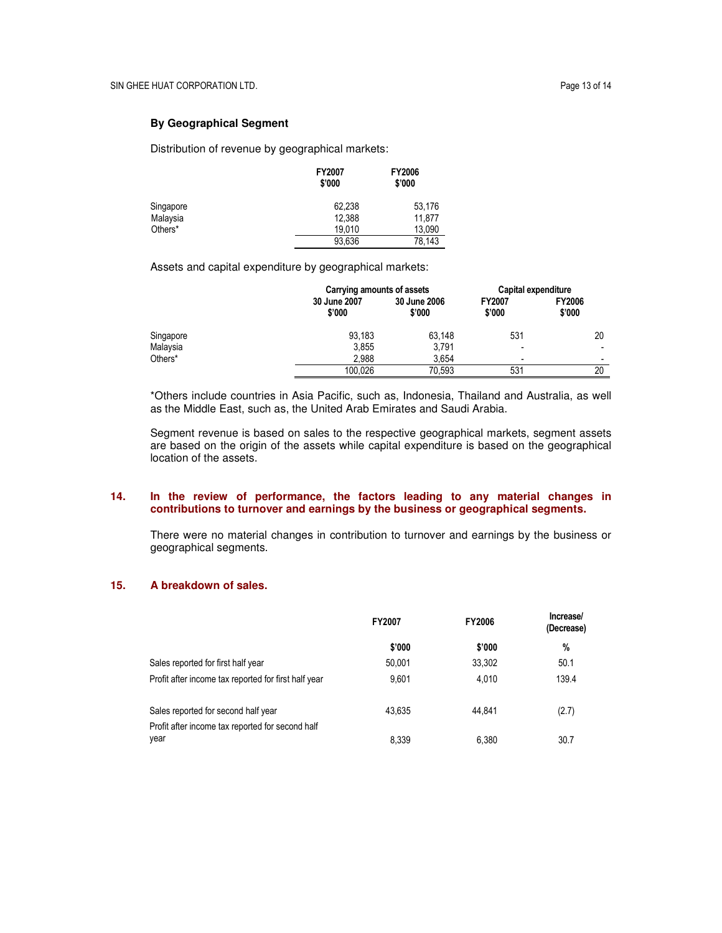# **By Geographical Segment**

Distribution of revenue by geographical markets:

|           | FY2007<br>\$'000 | <b>FY2006</b><br>\$'000 |
|-----------|------------------|-------------------------|
| Singapore | 62.238           | 53,176                  |
| Malaysia  | 12,388           | 11.877                  |
| Others*   | 19.010           | 13.090                  |
|           | 93,636           | 78.143                  |

Assets and capital expenditure by geographical markets:

|           |                        | Carrying amounts of assets |                         | Capital expenditure      |
|-----------|------------------------|----------------------------|-------------------------|--------------------------|
|           | 30 June 2007<br>\$'000 | 30 June 2006<br>\$'000     | <b>FY2007</b><br>\$'000 | <b>FY2006</b><br>\$'000  |
| Singapore | 93.183                 | 63.148                     | 531                     | 20                       |
| Malaysia  | 3,855                  | 3.791                      | ۰                       | $\overline{\phantom{a}}$ |
| Others*   | 2.988                  | 3.654                      | -                       | -                        |
|           | 100.026                | 70.593                     | 531                     | 20                       |

\*Others include countries in Asia Pacific, such as, Indonesia, Thailand and Australia, as well as the Middle East, such as, the United Arab Emirates and Saudi Arabia.

Segment revenue is based on sales to the respective geographical markets, segment assets are based on the origin of the assets while capital expenditure is based on the geographical location of the assets.

# **14. In the review of performance, the factors leading to any material changes in contributions to turnover and earnings by the business or geographical segments.**

There were no material changes in contribution to turnover and earnings by the business or geographical segments.

# **15. A breakdown of sales.**

|                                                          | <b>FY2007</b> | <b>FY2006</b> | Increase/<br>(Decrease) |
|----------------------------------------------------------|---------------|---------------|-------------------------|
|                                                          | \$'000        | \$'000        | %                       |
| Sales reported for first half year                       | 50,001        | 33.302        | 50.1                    |
| Profit after income tax reported for first half year     | 9.601         | 4.010         | 139.4                   |
| Sales reported for second half year                      | 43.635        | 44.841        | (2.7)                   |
| Profit after income tax reported for second half<br>year | 8.339         | 6.380         | 30.7                    |